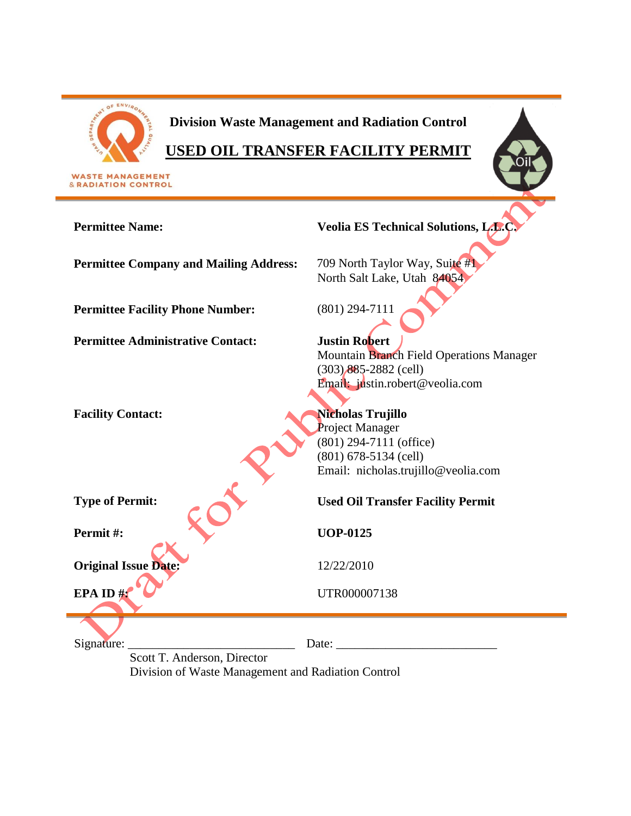

# **Division Waste Management and Radiation Control**

# **USED OIL TRANSFER FACILITY PERMIT**

**Permittee Name: Veolia ES Technical Solutions, L.L.C. Permittee Company and Mailing Address:** 709 North Taylor Way, Suite #1 North Salt Lake, Utah 84054 **Permittee Facility Phone Number:** (801) 294-7111 **Permittee Administrative Contact: Justin Robert** Mountain Branch Field Operations Manager (303) 885-2882 (cell) Email: justin.robert@veolia.com Facility Contact: **Nicholas Trujillo** Project Manager (801) 294-7111 (office) (801) 678-5134 (cell) Email: nicholas.trujillo@veolia.com **Type of Permit: Used Oil Transfer Facility Permit Permit #: UOP-0125 Original Issue Date:** 12/22/2010 **EPA ID #:** UTR000007138 Signature: \_\_\_\_\_\_\_\_\_\_\_\_\_\_\_\_\_\_\_\_\_\_\_\_\_\_\_ Date: \_\_\_\_\_\_\_\_\_\_\_\_\_\_\_\_\_\_\_\_\_\_\_\_\_\_ Scott T. Anderson, Director

Division of Waste Management and Radiation Control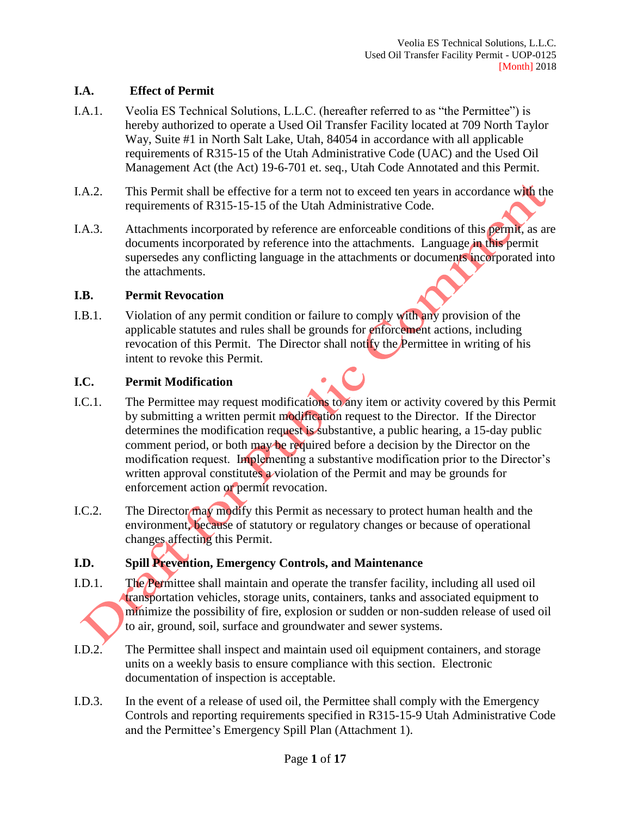## **I.A. Effect of Permit**

- I.A.1. Veolia ES Technical Solutions, L.L.C. (hereafter referred to as "the Permittee") is hereby authorized to operate a Used Oil Transfer Facility located at 709 North Taylor Way, Suite #1 in North Salt Lake, Utah, 84054 in accordance with all applicable requirements of R315-15 of the Utah Administrative Code (UAC) and the Used Oil Management Act (the Act) 19-6-701 et. seq., Utah Code Annotated and this Permit.
- I.A.2. This Permit shall be effective for a term not to exceed ten years in accordance with the requirements of R315-15-15 of the Utah Administrative Code.
- I.A.3. Attachments incorporated by reference are enforceable conditions of this permit, as are documents incorporated by reference into the attachments. Language in this permit supersedes any conflicting language in the attachments or documents incorporated into the attachments.

#### **I.B. Permit Revocation**

I.B.1. Violation of any permit condition or failure to comply with any provision of the applicable statutes and rules shall be grounds for enforcement actions, including revocation of this Permit. The Director shall notify the Permittee in writing of his intent to revoke this Permit.

# **I.C. Permit Modification**

- I.C.1. The Permittee may request modifications to any item or activity covered by this Permit by submitting a written permit modification request to the Director. If the Director determines the modification request is substantive, a public hearing, a 15-day public comment period, or both may be required before a decision by the Director on the modification request. Implementing a substantive modification prior to the Director's written approval constitutes a violation of the Permit and may be grounds for enforcement action or permit revocation.
- I.C.2. The Director may modify this Permit as necessary to protect human health and the environment, because of statutory or regulatory changes or because of operational changes affecting this Permit.

# **I.D. Spill Prevention, Emergency Controls, and Maintenance**

- I.D.1. The Permittee shall maintain and operate the transfer facility, including all used oil transportation vehicles, storage units, containers, tanks and associated equipment to minimize the possibility of fire, explosion or sudden or non-sudden release of used oil to air, ground, soil, surface and groundwater and sewer systems.
- I.D.2. The Permittee shall inspect and maintain used oil equipment containers, and storage units on a weekly basis to ensure compliance with this section. Electronic documentation of inspection is acceptable.
- I.D.3. In the event of a release of used oil, the Permittee shall comply with the Emergency Controls and reporting requirements specified in R315-15-9 Utah Administrative Code and the Permittee's Emergency Spill Plan (Attachment 1).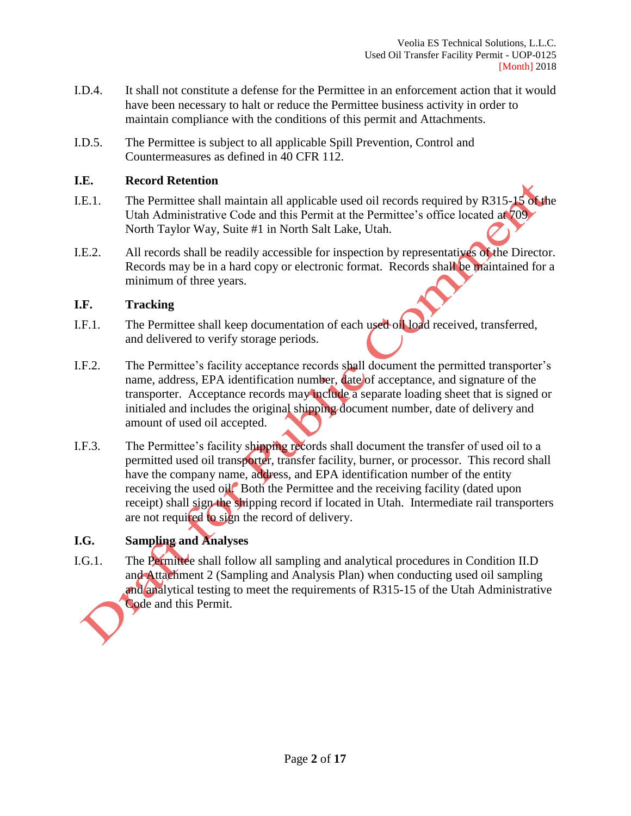- I.D.4. It shall not constitute a defense for the Permittee in an enforcement action that it would have been necessary to halt or reduce the Permittee business activity in order to maintain compliance with the conditions of this permit and Attachments.
- I.D.5. The Permittee is subject to all applicable Spill Prevention, Control and Countermeasures as defined in 40 CFR 112.

#### **I.E. Record Retention**

- I.E.1. The Permittee shall maintain all applicable used oil records required by R315-15 of the Utah Administrative Code and this Permit at the Permittee's office located at 709 North Taylor Way, Suite #1 in North Salt Lake, Utah.
- I.E.2. All records shall be readily accessible for inspection by representatives of the Director. Records may be in a hard copy or electronic format. Records shall be maintained for a minimum of three years.

# **I.F. Tracking**

- I.F.1. The Permittee shall keep documentation of each used oil load received, transferred, and delivered to verify storage periods.
- I.F.2. The Permittee's facility acceptance records shall document the permitted transporter's name, address, EPA identification number, date of acceptance, and signature of the transporter. Acceptance records may include a separate loading sheet that is signed or initialed and includes the original shipping document number, date of delivery and amount of used oil accepted.
- I.F.3. The Permittee's facility shipping records shall document the transfer of used oil to a permitted used oil transporter, transfer facility, burner, or processor. This record shall have the company name, address, and EPA identification number of the entity receiving the used oil. Both the Permittee and the receiving facility (dated upon receipt) shall sign the shipping record if located in Utah. Intermediate rail transporters are not required to sign the record of delivery.

# **I.G. Sampling and Analyses**

I.G.1. The Permittee shall follow all sampling and analytical procedures in Condition II.D and Attachment 2 (Sampling and Analysis Plan) when conducting used oil sampling and analytical testing to meet the requirements of R315-15 of the Utah Administrative Code and this Permit.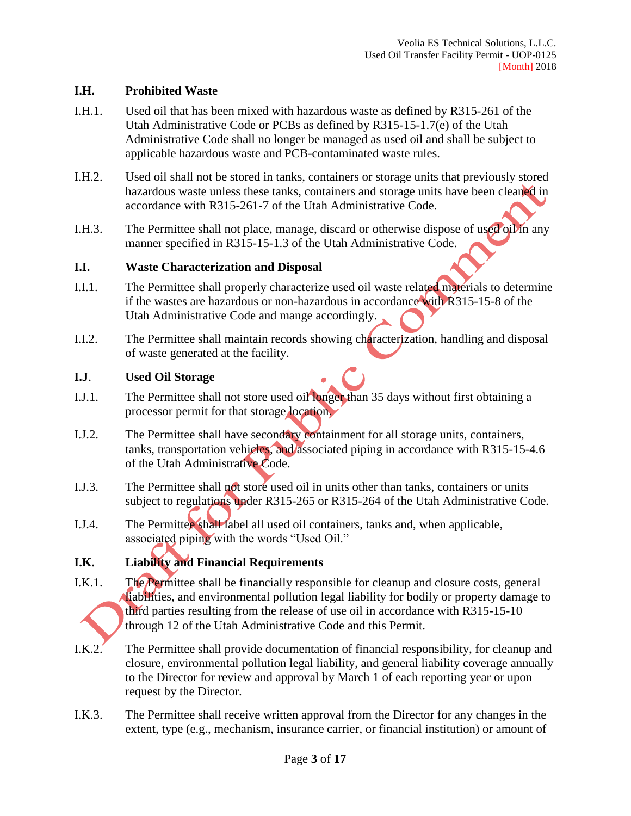## **I.H. Prohibited Waste**

- I.H.1. Used oil that has been mixed with hazardous waste as defined by R315-261 of the Utah Administrative Code or PCBs as defined by R315-15-1.7(e) of the Utah Administrative Code shall no longer be managed as used oil and shall be subject to applicable hazardous waste and PCB-contaminated waste rules.
- I.H.2. Used oil shall not be stored in tanks, containers or storage units that previously stored hazardous waste unless these tanks, containers and storage units have been cleaned in accordance with R315-261-7 of the Utah Administrative Code.
- I.H.3. The Permittee shall not place, manage, discard or otherwise dispose of used oil in any manner specified in R315-15-1.3 of the Utah Administrative Code.

#### **I.I. Waste Characterization and Disposal**

- I.I.1. The Permittee shall properly characterize used oil waste related materials to determine if the wastes are hazardous or non-hazardous in accordance with R315-15-8 of the Utah Administrative Code and mange accordingly.
- I.I.2. The Permittee shall maintain records showing characterization, handling and disposal of waste generated at the facility.

#### **I.J**. **Used Oil Storage**

- I.J.1. The Permittee shall not store used oil longer than 35 days without first obtaining a processor permit for that storage location.
- I.J.2. The Permittee shall have secondary containment for all storage units, containers, tanks, transportation vehicles, and associated piping in accordance with R315-15-4.6 of the Utah Administrative Code.
- I.J.3. The Permittee shall not store used oil in units other than tanks, containers or units subject to regulations under R315-265 or R315-264 of the Utah Administrative Code.
- I.J.4. The Permittee shall label all used oil containers, tanks and, when applicable, associated piping with the words "Used Oil."

# **I.K. Liability and Financial Requirements**

- I.K.1. The Permittee shall be financially responsible for cleanup and closure costs, general liabilities, and environmental pollution legal liability for bodily or property damage to third parties resulting from the release of use oil in accordance with R315-15-10 through 12 of the Utah Administrative Code and this Permit.
- I.K.2. The Permittee shall provide documentation of financial responsibility, for cleanup and closure, environmental pollution legal liability, and general liability coverage annually to the Director for review and approval by March 1 of each reporting year or upon request by the Director.
- I.K.3. The Permittee shall receive written approval from the Director for any changes in the extent, type (e.g., mechanism, insurance carrier, or financial institution) or amount of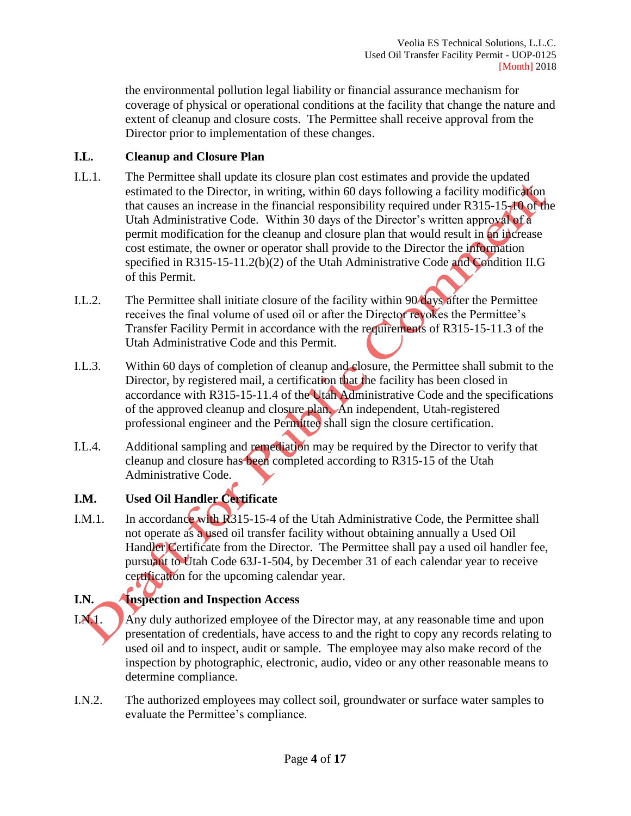the environmental pollution legal liability or financial assurance mechanism for coverage of physical or operational conditions at the facility that change the nature and extent of cleanup and closure costs. The Permittee shall receive approval from the Director prior to implementation of these changes.

# **I.L. Cleanup and Closure Plan**

- I.L.1. The Permittee shall update its closure plan cost estimates and provide the updated estimated to the Director, in writing, within 60 days following a facility modification that causes an increase in the financial responsibility required under R315-15-10 of the Utah Administrative Code. Within 30 days of the Director's written approval of a permit modification for the cleanup and closure plan that would result in an increase cost estimate, the owner or operator shall provide to the Director the information specified in R315-15-11.2(b)(2) of the Utah Administrative Code and Condition II.G of this Permit.
- I.L.2. The Permittee shall initiate closure of the facility within 90 days after the Permittee receives the final volume of used oil or after the Director revokes the Permittee's Transfer Facility Permit in accordance with the requirements of R315-15-11.3 of the Utah Administrative Code and this Permit.
- I.L.3. Within 60 days of completion of cleanup and closure, the Permittee shall submit to the Director, by registered mail, a certification that the facility has been closed in accordance with R315-15-11.4 of the Utah Administrative Code and the specifications of the approved cleanup and closure plan. An independent, Utah-registered professional engineer and the Permittee shall sign the closure certification.
- I.L.4. Additional sampling and remediation may be required by the Director to verify that cleanup and closure has been completed according to R315-15 of the Utah Administrative Code.

# **I.M. Used Oil Handler Certificate**

I.M.1. In accordance with R315-15-4 of the Utah Administrative Code, the Permittee shall not operate as a used oil transfer facility without obtaining annually a Used Oil Handler Certificate from the Director. The Permittee shall pay a used oil handler fee, pursuant to Utah Code 63J-1-504, by December 31 of each calendar year to receive certification for the upcoming calendar year.

# **I.N. Inspection and Inspection Access**

- I.N.1. Any duly authorized employee of the Director may, at any reasonable time and upon presentation of credentials, have access to and the right to copy any records relating to used oil and to inspect, audit or sample. The employee may also make record of the inspection by photographic, electronic, audio, video or any other reasonable means to determine compliance.
- I.N.2. The authorized employees may collect soil, groundwater or surface water samples to evaluate the Permittee's compliance.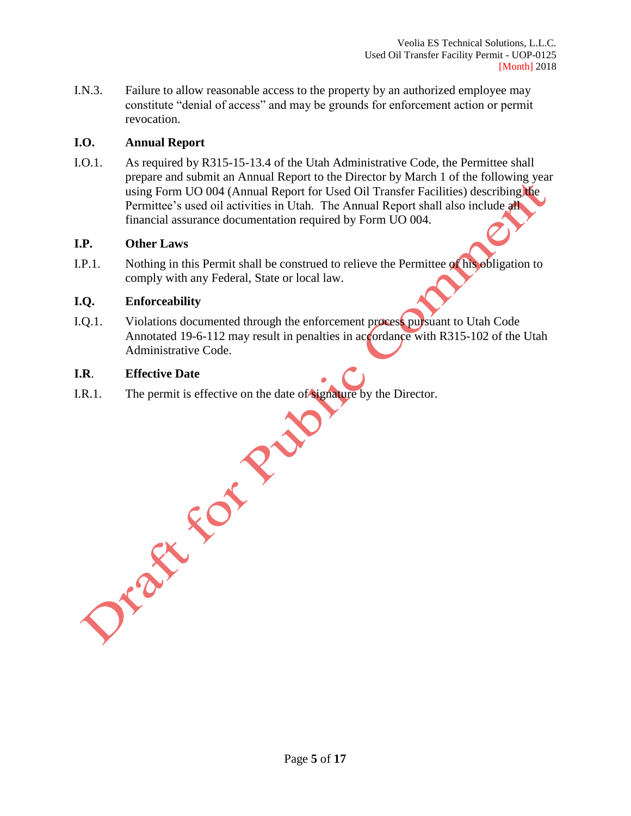I.N.3. Failure to allow reasonable access to the property by an authorized employee may constitute "denial of access" and may be grounds for enforcement action or permit revocation.

#### **I.O. Annual Report**

I.O.1. As required by R315-15-13.4 of the Utah Administrative Code, the Permittee shall prepare and submit an Annual Report to the Director by March 1 of the following year using Form UO 004 (Annual Report for Used Oil Transfer Facilities) describing the Permittee's used oil activities in Utah. The Annual Report shall also include all financial assurance documentation required by Form UO 004.

#### **I.P. Other Laws**

I.P.1. Nothing in this Permit shall be construed to relieve the Permittee of his obligation to comply with any Federal, State or local law.

#### **I.Q. Enforceability**

I.Q.1. Violations documented through the enforcement process pursuant to Utah Code Annotated 19-6-112 may result in penalties in accordance with R315-102 of the Utah Administrative Code.

I.R.1. File permit is effective on the date I.R.1. The permit is effective on the date of signature by the Director.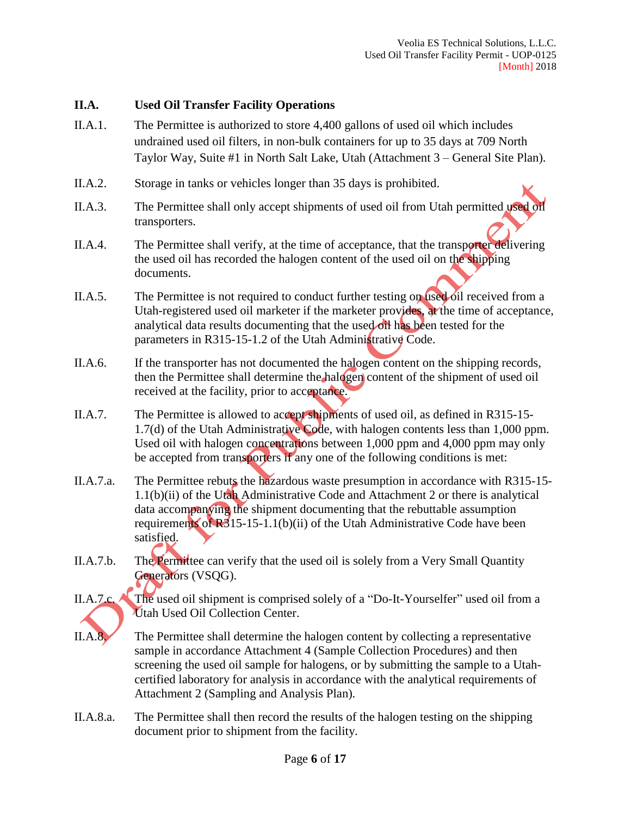#### **II.A. Used Oil Transfer Facility Operations**

- II.A.1. The Permittee is authorized to store 4,400 gallons of used oil which includes undrained used oil filters, in non-bulk containers for up to 35 days at 709 North Taylor Way, Suite #1 in North Salt Lake, Utah (Attachment 3 – General Site Plan).
- II.A.2. Storage in tanks or vehicles longer than 35 days is prohibited.
- II.A.3. The Permittee shall only accept shipments of used oil from Utah permitted used oil transporters.
- II.A.4. The Permittee shall verify, at the time of acceptance, that the transporter delivering the used oil has recorded the halogen content of the used oil on the shipping documents.
- II.A.5. The Permittee is not required to conduct further testing on used oil received from a Utah-registered used oil marketer if the marketer provides, at the time of acceptance, analytical data results documenting that the used of the been tested for the parameters in R315-15-1.2 of the Utah Administrative Code.
- II.A.6. If the transporter has not documented the halogen content on the shipping records, then the Permittee shall determine the halogen content of the shipment of used oil received at the facility, prior to acceptance.
- II.A.7. The Permittee is allowed to accept shipments of used oil, as defined in R315-15- 1.7(d) of the Utah Administrative Code, with halogen contents less than 1,000 ppm. Used oil with halogen concentrations between 1,000 ppm and 4,000 ppm may only be accepted from transporters if any one of the following conditions is met:
- II.A.7.a. The Permittee rebuts the hazardous waste presumption in accordance with R315-15- 1.1(b)(ii) of the Utah Administrative Code and Attachment 2 or there is analytical data accompanying the shipment documenting that the rebuttable assumption requirements of  $R_{3}^{3}$ 15-15-1.1(b)(ii) of the Utah Administrative Code have been satisfied.
- II.A.7.b. The Permittee can verify that the used oil is solely from a Very Small Quantity Generators (VSQG).
- II.A.7.c. The used oil shipment is comprised solely of a "Do-It-Yourselfer" used oil from a Utah Used Oil Collection Center.
- II.A.8. The Permittee shall determine the halogen content by collecting a representative sample in accordance Attachment 4 (Sample Collection Procedures) and then screening the used oil sample for halogens, or by submitting the sample to a Utahcertified laboratory for analysis in accordance with the analytical requirements of Attachment 2 (Sampling and Analysis Plan)*.*
- II.A.8.a. The Permittee shall then record the results of the halogen testing on the shipping document prior to shipment from the facility.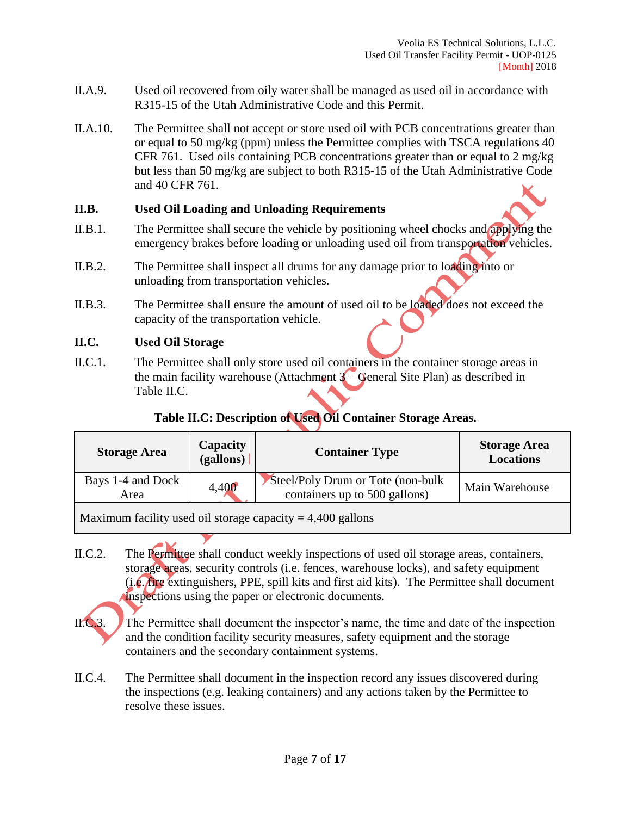- II.A.9. Used oil recovered from oily water shall be managed as used oil in accordance with R315-15 of the Utah Administrative Code and this Permit.
- II.A.10. The Permittee shall not accept or store used oil with PCB concentrations greater than or equal to 50 mg/kg (ppm) unless the Permittee complies with TSCA regulations 40 CFR 761. Used oils containing PCB concentrations greater than or equal to 2 mg/kg but less than 50 mg/kg are subject to both R315-15 of the Utah Administrative Code and 40 CFR 761.

## **II.B. Used Oil Loading and Unloading Requirements**

- II.B.1. The Permittee shall secure the vehicle by positioning wheel chocks and applying the emergency brakes before loading or unloading used oil from transportation vehicles.
- II.B.2. The Permittee shall inspect all drums for any damage prior to loading into or unloading from transportation vehicles.
- II.B.3. The Permittee shall ensure the amount of used oil to be loaded does not exceed the capacity of the transportation vehicle.

#### **II.C. Used Oil Storage**

II.C.1. The Permittee shall only store used oil containers in the container storage areas in the main facility warehouse (Attachment  $3$  – General Site Plan) as described in Table II.C.

# **Table II.C: Description of Used Oil Container Storage Areas.**

| <b>Storage Area</b>       | <b>Capacity</b><br>(gallons) | <b>Container Type</b>                                               | <b>Storage Area</b><br><b>Locations</b> |
|---------------------------|------------------------------|---------------------------------------------------------------------|-----------------------------------------|
| Bays 1-4 and Dock<br>Area | 4,400                        | Steel/Poly Drum or Tote (non-bulk)<br>containers up to 500 gallons) | Main Warehouse                          |

Maximum facility used oil storage capacity  $= 4,400$  gallons

II.C.2. The Permittee shall conduct weekly inspections of used oil storage areas, containers, storage areas, security controls (i.e. fences, warehouse locks), and safety equipment  $(i.e., fire$  extinguishers, PPE, spill kits and first aid kits). The Permittee shall document inspections using the paper or electronic documents.



II.C.3. The Permittee shall document the inspector's name, the time and date of the inspection and the condition facility security measures, safety equipment and the storage containers and the secondary containment systems.

II.C.4. The Permittee shall document in the inspection record any issues discovered during the inspections (e.g. leaking containers) and any actions taken by the Permittee to resolve these issues.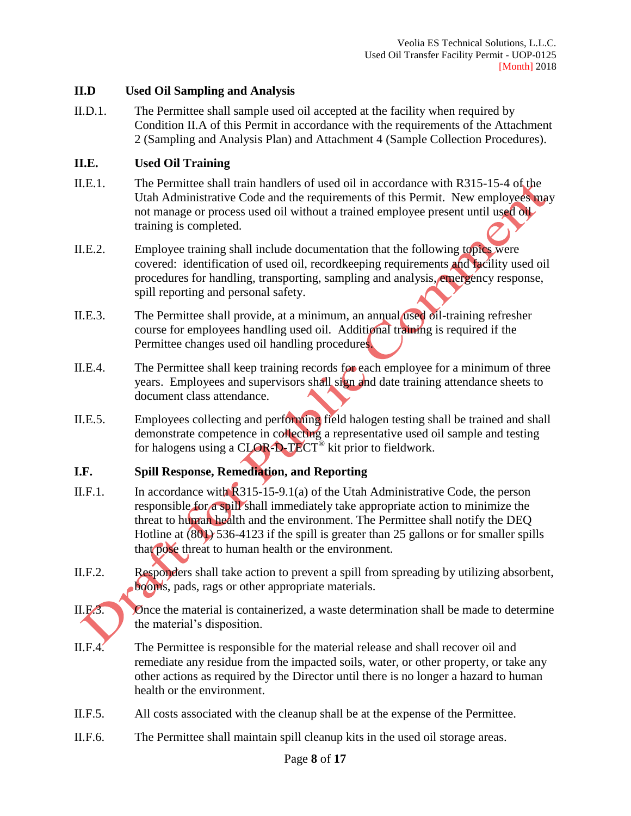## **II.D Used Oil Sampling and Analysis**

II.D.1. The Permittee shall sample used oil accepted at the facility when required by Condition II.A of this Permit in accordance with the requirements of the Attachment 2 (Sampling and Analysis Plan) and Attachment 4 (Sample Collection Procedures).

## **II.E. Used Oil Training**

- II.E.1. The Permittee shall train handlers of used oil in accordance with R315-15-4 of the Utah Administrative Code and the requirements of this Permit. New employees may not manage or process used oil without a trained employee present until used oil training is completed.
- II.E.2. Employee training shall include documentation that the following topics were covered: identification of used oil, recordkeeping requirements and facility used oil procedures for handling, transporting, sampling and analysis, emergency response, spill reporting and personal safety.
- II.E.3. The Permittee shall provide, at a minimum, an annual used oil-training refresher course for employees handling used oil. Additional training is required if the Permittee changes used oil handling procedures.
- II.E.4. The Permittee shall keep training records for each employee for a minimum of three years. Employees and supervisors shall sign and date training attendance sheets to document class attendance.
- II.E.5. Employees collecting and performing field halogen testing shall be trained and shall demonstrate competence in collecting a representative used oil sample and testing for halogens using a CLOR-D-TECT<sup>®</sup> kit prior to fieldwork.

# **I.F. Spill Response, Remediation, and Reporting**

- II.F.1. In accordance with  $R315-15-9.1(a)$  of the Utah Administrative Code, the person responsible for a spill shall immediately take appropriate action to minimize the threat to human health and the environment. The Permittee shall notify the DEQ Hotline at (801) 536-4123 if the spill is greater than 25 gallons or for smaller spills that pose threat to human health or the environment.
- II.F.2. Responders shall take action to prevent a spill from spreading by utilizing absorbent, booms, pads, rags or other appropriate materials.
- 

II.F.3. Once the material is containerized, a waste determination shall be made to determine the material's disposition.

- II.F.4. The Permittee is responsible for the material release and shall recover oil and remediate any residue from the impacted soils, water, or other property, or take any other actions as required by the Director until there is no longer a hazard to human health or the environment.
- II.F.5. All costs associated with the cleanup shall be at the expense of the Permittee.
- II.F.6. The Permittee shall maintain spill cleanup kits in the used oil storage areas.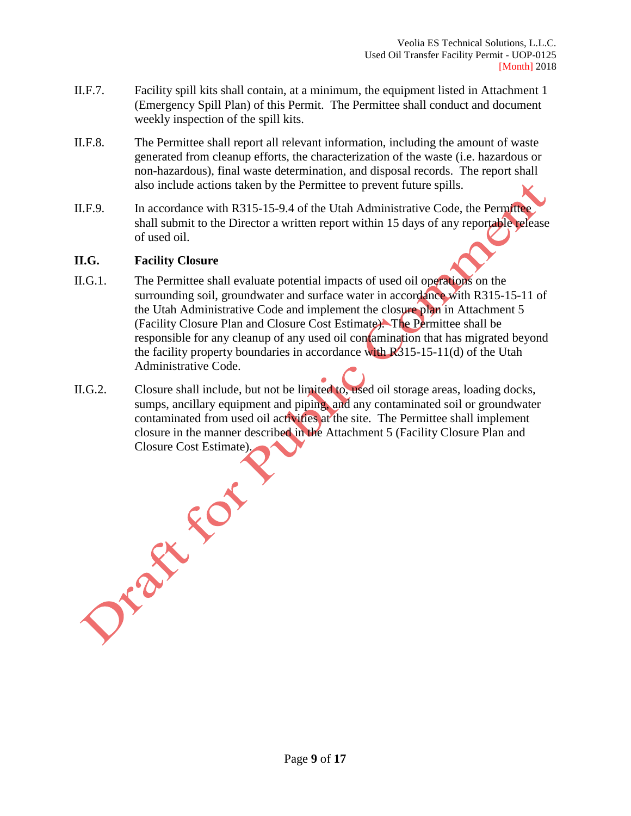- II.F.7. Facility spill kits shall contain, at a minimum, the equipment listed in Attachment 1 (Emergency Spill Plan) of this Permit. The Permittee shall conduct and document weekly inspection of the spill kits.
- II.F.8. The Permittee shall report all relevant information, including the amount of waste generated from cleanup efforts, the characterization of the waste (i.e. hazardous or non-hazardous), final waste determination, and disposal records. The report shall also include actions taken by the Permittee to prevent future spills.
- II.F.9. In accordance with R315-15-9.4 of the Utah Administrative Code, the Permittee shall submit to the Director a written report within 15 days of any reportable release of used oil.

#### **II.G. Facility Closure**

- II.G.1. The Permittee shall evaluate potential impacts of used oil operations on the surrounding soil, groundwater and surface water in accordance with R315-15-11 of the Utah Administrative Code and implement the closure plan in Attachment 5 (Facility Closure Plan and Closure Cost Estimate). The Permittee shall be responsible for any cleanup of any used oil contamination that has migrated beyond the facility property boundaries in accordance with  $R_{315-15-11(d)}$  of the Utah Administrative Code.
- II.G.2. Closure shall include, but not be limited to, used oil storage areas, loading docks, sumps, ancillary equipment and piping, and any contaminated soil or groundwater contaminated from used oil activities at the site. The Permittee shall implement closure in the manner described in the Attachment 5 (Facility Closure Plan and Closure Cost Estimate).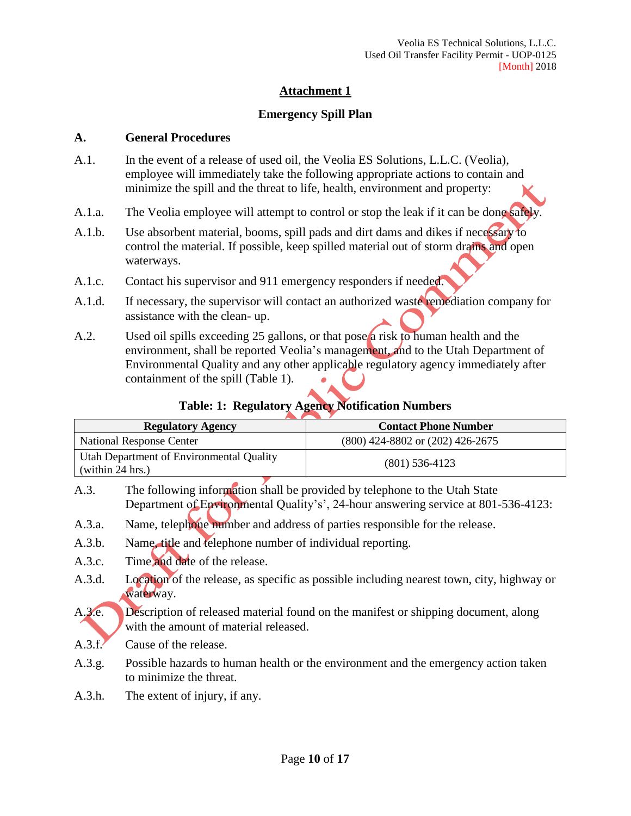# **Emergency Spill Plan**

#### **A. General Procedures**

- A.1. In the event of a release of used oil, the Veolia ES Solutions, L.L.C. (Veolia), employee will immediately take the following appropriate actions to contain and minimize the spill and the threat to life, health, environment and property:
- A.1.a. The Veolia employee will attempt to control or stop the leak if it can be done safely.
- A.1.b. Use absorbent material, booms, spill pads and dirt dams and dikes if necessary to control the material. If possible, keep spilled material out of storm drains and open waterways.
- A.1.c. Contact his supervisor and 911 emergency responders if needed.
- A.1.d. If necessary, the supervisor will contact an authorized waste remediation company for assistance with the clean- up.
- A.2. Used oil spills exceeding 25 gallons, or that pose a risk to human health and the environment, shall be reported Veolia's management, and to the Utah Department of Environmental Quality and any other applicable regulatory agency immediately after containment of the spill (Table 1).

# **Table: 1: Regulatory Agency Notification Numbers**

| <b>Regulatory Agency</b>                                     | <b>Contact Phone Number</b>          |  |
|--------------------------------------------------------------|--------------------------------------|--|
| National Response Center                                     | $(800)$ 424-8802 or $(202)$ 426-2675 |  |
| Utah Department of Environmental Quality<br>(within 24 hrs.) | $(801)$ 536-4123                     |  |

- A.3. The following information shall be provided by telephone to the Utah State Department of Environmental Quality's', 24-hour answering service at 801-536-4123:
- A.3.a. Name, telephone number and address of parties responsible for the release.
- A.3.b. Name, title and telephone number of individual reporting.
- A.3.c. Time and date of the release.
- A.3.d. Location of the release, as specific as possible including nearest town, city, highway or waterway.
- A.3.e. Description of released material found on the manifest or shipping document, along with the amount of material released.
- A.3.f. Cause of the release.
- A.3.g. Possible hazards to human health or the environment and the emergency action taken to minimize the threat.
- A.3.h. The extent of injury, if any.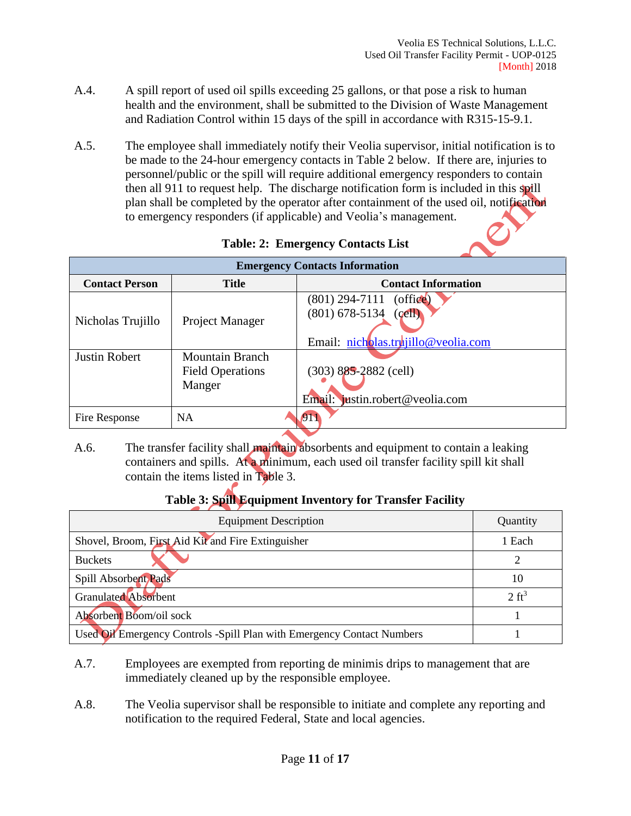- A.4. A spill report of used oil spills exceeding 25 gallons, or that pose a risk to human health and the environment, shall be submitted to the Division of Waste Management and Radiation Control within 15 days of the spill in accordance with R315-15-9.1.
- A.5. The employee shall immediately notify their Veolia supervisor, initial notification is to be made to the 24-hour emergency contacts in Table 2 below. If there are, injuries to personnel/public or the spill will require additional emergency responders to contain then all 911 to request help. The discharge notification form is included in this spill plan shall be completed by the operator after containment of the used oil, notification to emergency responders (if applicable) and Veolia's management.

| <b>Emergency Contacts Information</b> |                                                             |                                                                                              |  |  |  |  |
|---------------------------------------|-------------------------------------------------------------|----------------------------------------------------------------------------------------------|--|--|--|--|
| <b>Contact Person</b>                 | <b>Title</b>                                                | <b>Contact Information</b>                                                                   |  |  |  |  |
| Nicholas Trujillo                     | Project Manager                                             | $(801)$ 294-7111<br>(of<br>$(801)$ 678-5134<br>(cell)<br>Email: nicholas.truiillo@veolia.com |  |  |  |  |
| <b>Justin Robert</b>                  | <b>Mountain Branch</b><br><b>Field Operations</b><br>Manger | $(303)$ 885-2882 (cell)<br>Email: justin.robert@veolia.com                                   |  |  |  |  |
| Fire Response                         | <b>NA</b>                                                   | $\mathcal{D}$                                                                                |  |  |  |  |

**Table: 2: Emergency Contacts List**

A.6. The transfer facility shall **maintain** absorbents and equipment to contain a leaking containers and spills. At a minimum, each used oil transfer facility spill kit shall contain the items listed in Table 3.

# **Table 3: Spill Equipment Inventory for Transfer Facility**

| <b>Equipment Description</b>                                           | Quantity         |
|------------------------------------------------------------------------|------------------|
| Shovel, Broom, First Aid Kit and Fire Extinguisher                     | 1 Each           |
| <b>Buckets</b>                                                         |                  |
| Spill Absorbent Pads                                                   | 10               |
| Granulated Absorbent                                                   | $2 \text{ ft}^3$ |
| Absorbent Boom/oil sock                                                |                  |
| Used Oil Emergency Controls -Spill Plan with Emergency Contact Numbers |                  |

- A.7. Employees are exempted from reporting de minimis drips to management that are immediately cleaned up by the responsible employee.
- A.8. The Veolia supervisor shall be responsible to initiate and complete any reporting and notification to the required Federal, State and local agencies.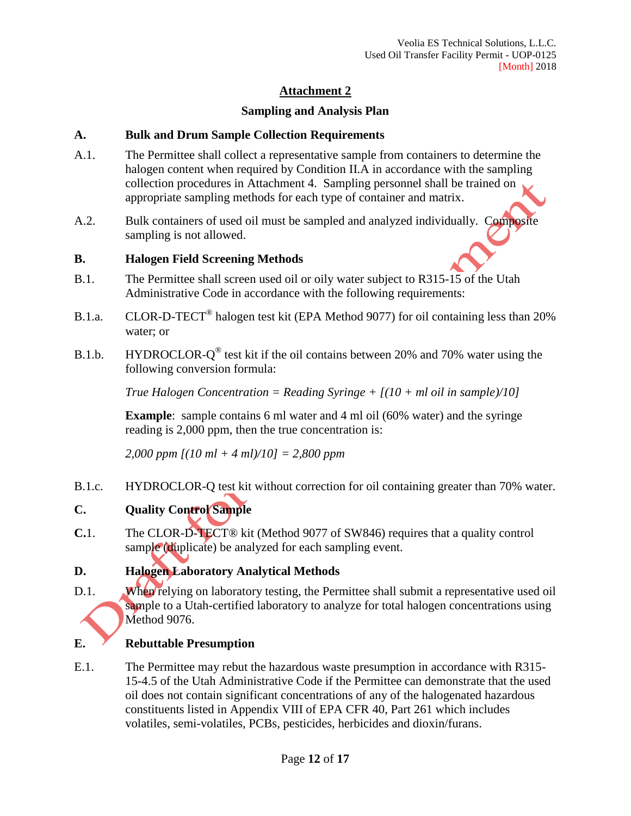# **Sampling and Analysis Plan**

## **A. Bulk and Drum Sample Collection Requirements**

- A.1. The Permittee shall collect a representative sample from containers to determine the halogen content when required by Condition II.A in accordance with the sampling collection procedures in Attachment 4. Sampling personnel shall be trained on appropriate sampling methods for each type of container and matrix.
- A.2. Bulk containers of used oil must be sampled and analyzed individually. Composite sampling is not allowed.

# **B. Halogen Field Screening Methods**

- B.1. The Permittee shall screen used oil or oily water subject to R315-15 of the Utah Administrative Code in accordance with the following requirements:
- B.1.a. CLOR-D-TECT<sup>®</sup> halogen test kit (EPA Method 9077) for oil containing less than 20% water; or
- B.1.b. HYDROCLOR- $Q^{\circledast}$  test kit if the oil contains between 20% and 70% water using the following conversion formula:

*True Halogen Concentration = Reading Syringe + [(10 + ml oil in sample)/10]*

**Example**: sample contains 6 ml water and 4 ml oil (60% water) and the syringe reading is 2,000 ppm, then the true concentration is:

*2,000 ppm [(10 ml + 4 ml)/10] = 2,800 ppm*

B.1.c. HYDROCLOR-Q test kit without correction for oil containing greater than 70% water.

# **C. Quality Control Sample**

**C.**1. The CLOR-D-TECT® kit (Method 9077 of SW846) requires that a quality control sample (duplicate) be analyzed for each sampling event.

# **D. Halogen Laboratory Analytical Methods**

D.1. When relying on laboratory testing, the Permittee shall submit a representative used oil sample to a Utah-certified laboratory to analyze for total halogen concentrations using Method 9076.

# **E. Rebuttable Presumption**

E.1. The Permittee may rebut the hazardous waste presumption in accordance with R315- 15-4.5 of the Utah Administrative Code if the Permittee can demonstrate that the used oil does not contain significant concentrations of any of the halogenated hazardous constituents listed in Appendix VIII of EPA CFR 40, Part 261 which includes volatiles, semi-volatiles, PCBs, pesticides, herbicides and dioxin/furans.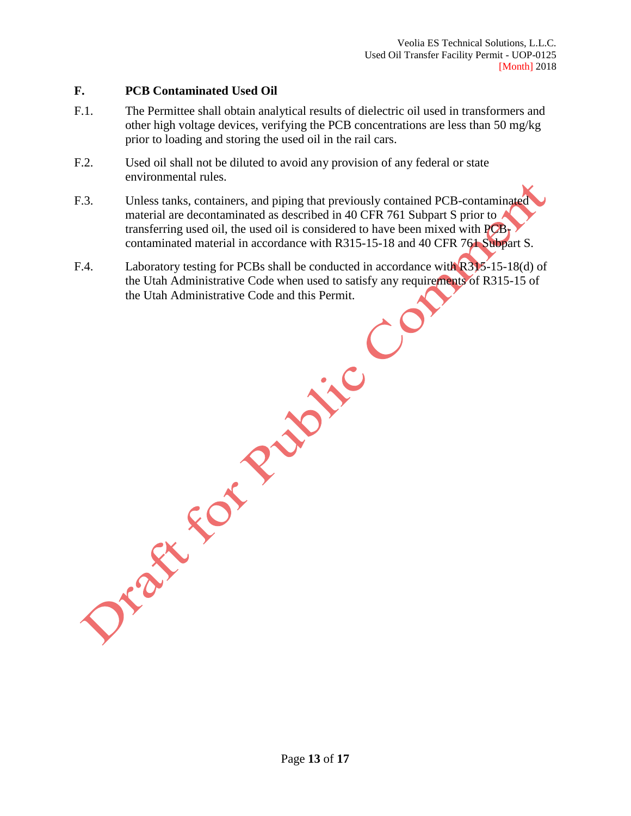## **F. PCB Contaminated Used Oil**

- F.1. The Permittee shall obtain analytical results of dielectric oil used in transformers and other high voltage devices, verifying the PCB concentrations are less than 50 mg/kg prior to loading and storing the used oil in the rail cars.
- F.2. Used oil shall not be diluted to avoid any provision of any federal or state environmental rules.
- F.3. Unless tanks, containers, and piping that previously contained PCB-contaminated material are decontaminated as described in 40 CFR 761 Subpart S prior to transferring used oil, the used oil is considered to have been mixed with  $PCB<sub>t</sub>$ contaminated material in accordance with R315-15-18 and 40 CFR 761 Subpart S.
- F.4. Laboratory testing for PCBs shall be conducted in accordance with R315-15-18(d) of the Utah Administrative Code when used to satisfy any requirements of R315-15 of OF OF ReView Co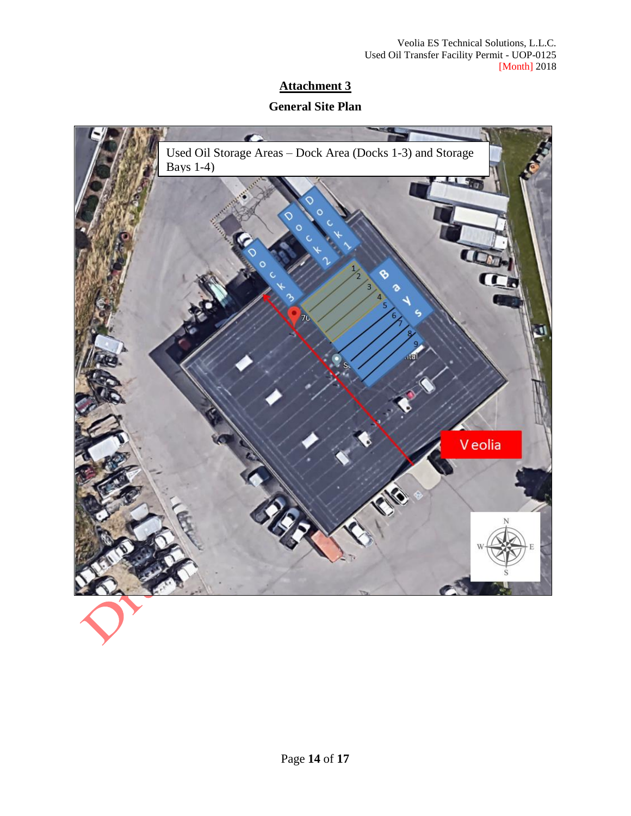# **General Site Plan**

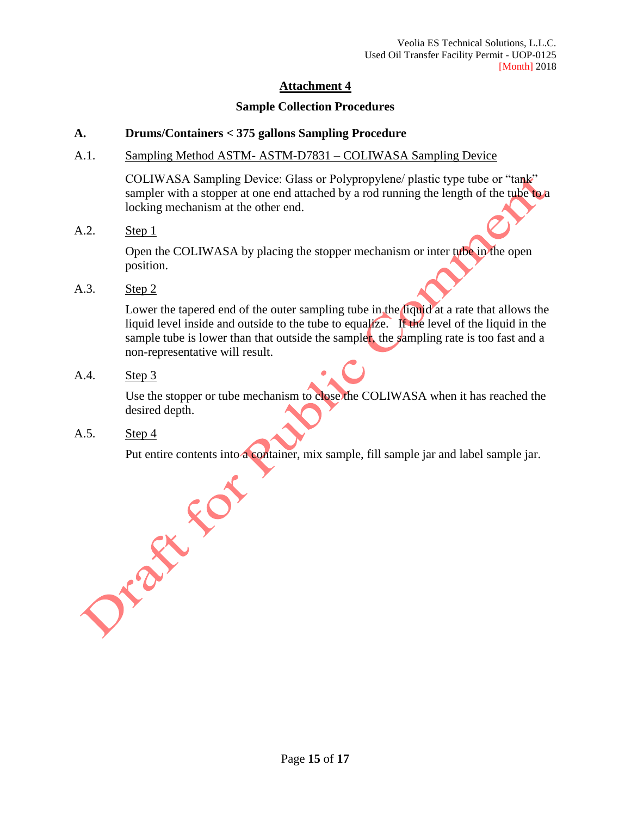#### **Sample Collection Procedures**

#### **A. Drums/Containers < 375 gallons Sampling Procedure**

A.1. Sampling Method ASTM- ASTM-D7831 – COLIWASA Sampling Device

COLIWASA Sampling Device: Glass or Polypropylene/ plastic type tube or "tank" sampler with a stopper at one end attached by a rod running the length of the tube to a locking mechanism at the other end.

A.2. Step 1

Open the COLIWASA by placing the stopper mechanism or inter tube in the open position.

A.3. Step 2

Lower the tapered end of the outer sampling tube in the liquid at a rate that allows the liquid level inside and outside to the tube to equalize. If the level of the liquid in the sample tube is lower than that outside the sampler, the sampling rate is too fast and a non-representative will result.

A.4. Step 3

Use the stopper or tube mechanism to close the COLIWASA when it has reached the desired depth.

A.5. Step 4

Put entire contents into a container, mix sample, fill sample jar and label sample jar.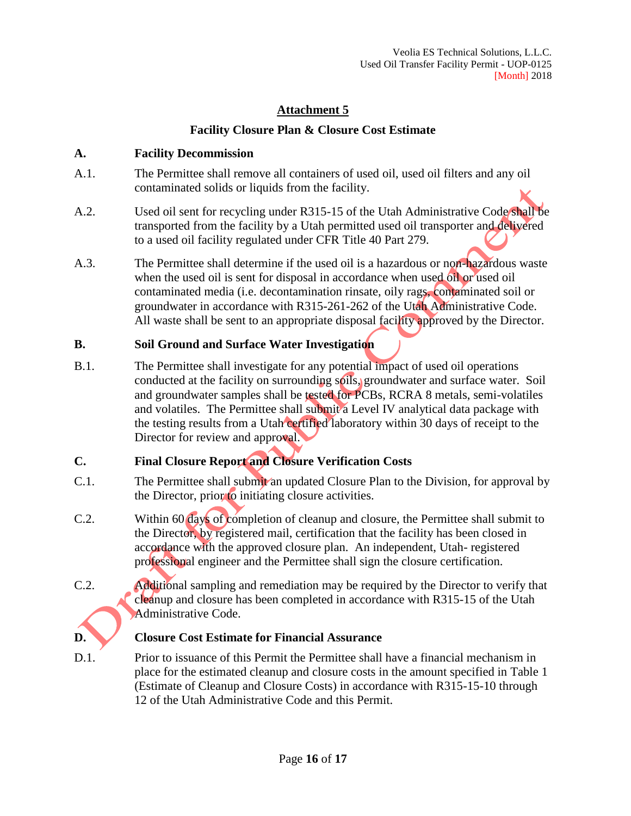# **Facility Closure Plan & Closure Cost Estimate**

# **A. Facility Decommission**

- A.1. The Permittee shall remove all containers of used oil, used oil filters and any oil contaminated solids or liquids from the facility.
- A.2. Used oil sent for recycling under R315-15 of the Utah Administrative Code shall be transported from the facility by a Utah permitted used oil transporter and delivered to a used oil facility regulated under CFR Title 40 Part 279.
- A.3. The Permittee shall determine if the used oil is a hazardous or non-hazardous waste when the used oil is sent for disposal in accordance when used oil or used oil contaminated media (i.e. decontamination rinsate, oily rags, contaminated soil or groundwater in accordance with R315-261-262 of the Utah Administrative Code. All waste shall be sent to an appropriate disposal facility approved by the Director.

# **B. Soil Ground and Surface Water Investigation**

B.1. The Permittee shall investigate for any potential impact of used oil operations conducted at the facility on surrounding soils, groundwater and surface water. Soil and groundwater samples shall be tested for PCBs, RCRA 8 metals, semi-volatiles and volatiles. The Permittee shall submit a Level IV analytical data package with the testing results from a Utah certified laboratory within 30 days of receipt to the Director for review and approval.

# **C. Final Closure Report and Closure Verification Costs**

- C.1. The Permittee shall submit an updated Closure Plan to the Division, for approval by the Director, prior to initiating closure activities.
- C.2. Within 60 days of completion of cleanup and closure, the Permittee shall submit to the Director, by registered mail, certification that the facility has been closed in accordance with the approved closure plan. An independent, Utah- registered professional engineer and the Permittee shall sign the closure certification.
- C.2. Additional sampling and remediation may be required by the Director to verify that cleanup and closure has been completed in accordance with R315-15 of the Utah Administrative Code.

# **D. Closure Cost Estimate for Financial Assurance**

D.1. Prior to issuance of this Permit the Permittee shall have a financial mechanism in place for the estimated cleanup and closure costs in the amount specified in Table 1 (Estimate of Cleanup and Closure Costs) in accordance with R315-15-10 through 12 of the Utah Administrative Code and this Permit.